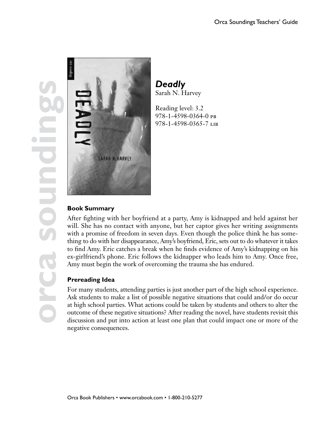**orca soundings** SO



*Deadly* Sarah N. Harvey

Reading level: 3.2 978-1-4598-0364-0 pb 978-1-4598-0365-7 lib

# **Book Summary**

After fighting with her boyfriend at a party, Amy is kidnapped and held against her will. She has no contact with anyone, but her captor gives her writing assignments with a promise of freedom in seven days. Even though the police think he has something to do with her disappearance, Amy's boyfriend, Eric, sets out to do whatever it takes to find Amy. Eric catches a break when he finds evidence of Amy's kidnapping on his ex-girlfriend's phone. Eric follows the kidnapper who leads him to Amy. Once free, Amy must begin the work of overcoming the trauma she has endured.

# **Prereading Idea**

For many students, attending parties is just another part of the high school experience. Ask students to make a list of possible negative situations that could and/or do occur at high school parties. What actions could be taken by students and others to alter the outcome of these negative situations? After reading the novel, have students revisit this discussion and put into action at least one plan that could impact one or more of the negative consequences.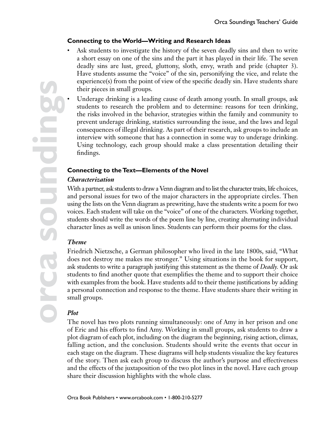# **Connecting to the World—Writing and Research Ideas**

Ask students to investigate the history of the seven deadly sins and then to write a short essay on one of the sins and the part it has played in their life. The seven deadly sins are lust, greed, gluttony, sloth, envy, wrath and pride (chapter 3). Have students assume the "voice" of the sin, personifying the vice, and relate the experience(s) from the point of view of the specific deadly sin. Have students share their pieces in small groups.

• Underage drinking is a leading cause of death among youth. In small groups, ask students to research the problem and to determine: reasons for teen drinking, the risks involved in the behavior, strategies within the family and community to prevent underage drinking, statistics surrounding the issue, and the laws and legal consequences of illegal drinking. As part of their research, ask groups to include an interview with someone that has a connection in some way to underage drinking. Using technology, each group should make a class presentation detailing their findings.

### **Connecting to the Text—Elements of the Novel**

### *Characterization*

With a partner, ask students to draw a Venn diagram and to list the character traits, life choices, and personal issues for two of the major characters in the appropriate circles. Then using the lists on the Venn diagram as prewriting, have the students write a poem for two voices. Each student will take on the "voice" of one of the characters. Working together, students should write the words of the poem line by line, creating alternating individual character lines as well as unison lines. Students can perform their poems for the class.

### *Theme*

Friedrich Nietzsche, a German philosopher who lived in the late 1800s, said, "What does not destroy me makes me stronger." Using situations in the book for support, ask students to write a paragraph justifying this statement as the theme of *Deadly.* Or ask students to find another quote that exemplifies the theme and to support their choice with examples from the book. Have students add to their theme justifications by adding a personal connection and response to the theme. Have students share their writing in small groups.

# *Plot*

The novel has two plots running simultaneously: one of Amy in her prison and one of Eric and his efforts to find Amy. Working in small groups, ask students to draw a plot diagram of each plot, including on the diagram the beginning, rising action, climax, falling action, and the conclusion. Students should write the events that occur in each stage on the diagram. These diagrams will help students visualize the key features of the story. Then ask each group to discuss the author's purpose and effectiveness and the effects of the juxtaposition of the two plot lines in the novel. Have each group share their discussion highlights with the whole class.